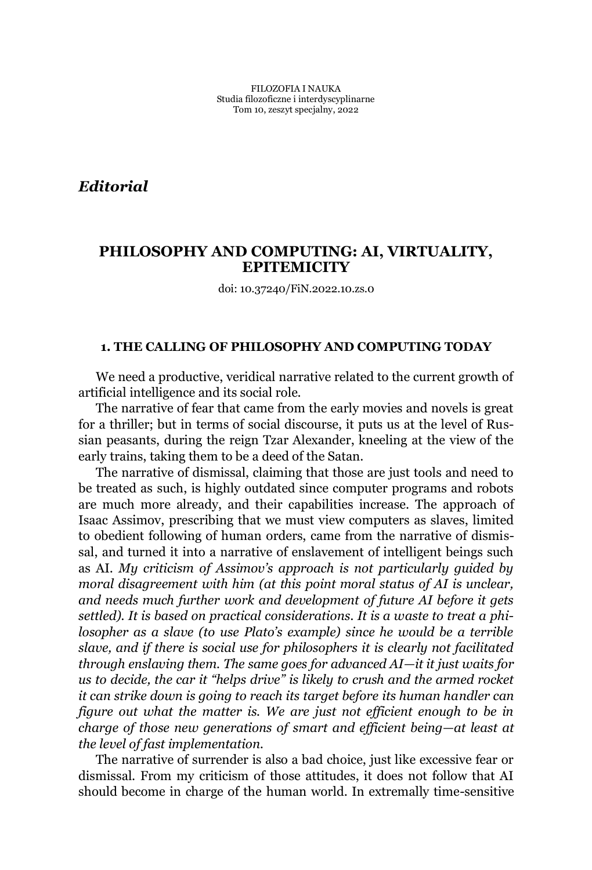*Editorial*

# **PHILOSOPHY AND COMPUTING: AI, VIRTUALITY, EPITEMICITY**

doi: 10.37240/FiN.2022.10.zs.0

## **1. THE CALLING OF PHILOSOPHY AND COMPUTING TODAY**

We need a productive, veridical narrative related to the current growth of artificial intelligence and its social role.

The narrative of fear that came from the early movies and novels is great for a thriller; but in terms of social discourse, it puts us at the level of Russian peasants, during the reign Tzar Alexander, kneeling at the view of the early trains, taking them to be a deed of the Satan.

The narrative of dismissal, claiming that those are just tools and need to be treated as such, is highly outdated since computer programs and robots are much more already, and their capabilities increase. The approach of Isaac Assimov, prescribing that we must view computers as slaves, limited to obedient following of human orders, came from the narrative of dismissal, and turned it into a narrative of enslavement of intelligent beings such as AI. *My criticism of Assimov's approach is not particularly quided by moral disagreement with him (at this point moral status of AI is unclear, and needs much further work and development of future AI before it gets settled). It is based on practical considerations. It is a waste to treat a phi-Corpher as a slave (to use Plato's example) since he would be a terrible slave, and if there is social use for philosophers it is clearly not facilitated through enslaving them. The same goes for advanced AI²it it just waits for us to decide, the car it ³helps drive´ is likely to crush and the armed rocket it can strike down is going to reach its target before its human handler can figure out what the matter is. We are just not efficient enough to be in charge of those new generations of smart and efficient being—at least at the level of fast implementation.*

The narrative of surrender is also a bad choice, just like excessive fear or dismissal. From my criticism of those attitudes, it does not follow that AI should become in charge of the human world. In extremally time-sensitive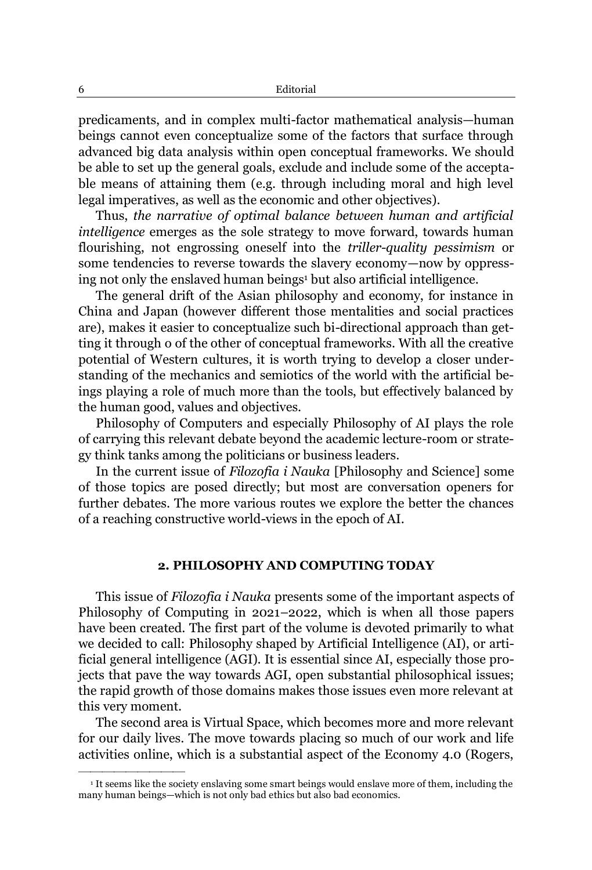predicaments, and in complex multi-factor mathematical analysis—human beings cannot even conceptualize some of the factors that surface through advanced big data analysis within open conceptual frameworks. We should be able to set up the general goals, exclude and include some of the acceptable means of attaining them (e.g. through including moral and high level legal imperatives, as well as the economic and other objectives).

Thus, *the narrative of optimal balance between human and artificial intelligence* emerges as the sole strategy to move forward, towards human flourishing, not engrossing oneself into the *triller-quality pessimism* or some tendencies to reverse towards the slavery economy—now by oppressing not only the enslaved human beings<sup>1</sup> but also artificial intelligence.

The general drift of the Asian philosophy and economy, for instance in China and Japan (however different those mentalities and social practices are), makes it easier to conceptualize such bi-directional approach than getting it through o of the other of conceptual frameworks. With all the creative potential of Western cultures, it is worth trying to develop a closer understanding of the mechanics and semiotics of the world with the artificial beings playing a role of much more than the tools, but effectively balanced by the human good, values and objectives.

Philosophy of Computers and especially Philosophy of AI plays the role of carrying this relevant debate beyond the academic lecture-room or strategy think tanks among the politicians or business leaders.

In the current issue of *Filozofia i Nauka* [Philosophy and Science] some of those topics are posed directly; but most are conversation openers for further debates. The more various routes we explore the better the chances of a reaching constructive world-views in the epoch of AI.

#### **2. PHILOSOPHY AND COMPUTING TODAY**

This issue of *Filozofia i Nauka* presents some of the important aspects of Philosophy of Computing in 2021–2022, which is when all those papers have been created. The first part of the volume is devoted primarily to what we decided to call: Philosophy shaped by Artificial Intelligence (AI), or artificial general intelligence (AGI). It is essential since AI, especially those projects that pave the way towards AGI, open substantial philosophical issues; the rapid growth of those domains makes those issues even more relevant at this very moment.

The second area is Virtual Space, which becomes more and more relevant for our daily lives. The move towards placing so much of our work and life activities online, which is a substantial aspect of the Economy 4.0 (Rogers,

²²²²²²²²²

<sup>&</sup>lt;sup>1</sup> It seems like the society enslaving some smart beings would enslave more of them, including the many human beings—which is not only bad ethics but also bad economics.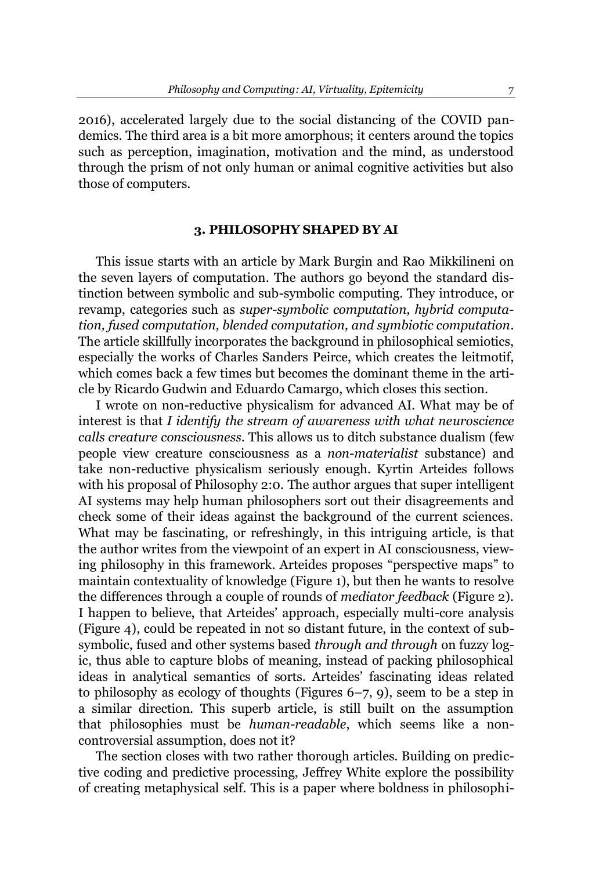2016), accelerated largely due to the social distancing of the COVID pandemics. The third area is a bit more amorphous; it centers around the topics such as perception, imagination, motivation and the mind, as understood through the prism of not only human or animal cognitive activities but also those of computers.

# **3. PHILOSOPHY SHAPED BY AI**

This issue starts with an article by Mark Burgin and Rao Mikkilineni on the seven layers of computation. The authors go beyond the standard distinction between symbolic and sub-symbolic computing. They introduce, or revamp, categories such as *super-symbolic computation, hybrid computation, fused computation, blended computation, and symbiotic computation*. The article skillfully incorporates the background in philosophical semiotics, especially the works of Charles Sanders Peirce, which creates the leitmotif, which comes back a few times but becomes the dominant theme in the article by Ricardo Gudwin and Eduardo Camargo, which closes this section.

I wrote on non-reductive physicalism for advanced AI. What may be of interest is that *I identify the stream of awareness with what neuroscience calls creature consciousness.* This allows us to ditch substance dualism (few people view creature consciousness as a *non-materialist* substance) and take non-reductive physicalism seriously enough. Kyrtin Arteides follows with his proposal of Philosophy 2:0. The author argues that super intelligent AI systems may help human philosophers sort out their disagreements and check some of their ideas against the background of the current sciences. What may be fascinating, or refreshingly, in this intriguing article, is that the author writes from the viewpoint of an expert in AI consciousness, viewing philosophy in this framework. Arteides proposes "perspective maps" to maintain contextuality of knowledge (Figure 1), but then he wants to resolve the differences through a couple of rounds of *mediator feedback* (Figure 2). I happen to believe, that Arteides' approach, especially multi-core analysis (Figure 4), could be repeated in not so distant future, in the context of subsymbolic, fused and other systems based *through and through* on fuzzy logic, thus able to capture blobs of meaning, instead of packing philosophical ideas in analytical semantics of sorts. Arteides' fascinating ideas related to philosophy as ecology of thoughts (Figures  $6-7$ , 9), seem to be a step in a similar direction. This superb article, is still built on the assumption that philosophies must be *human-readable*, which seems like a noncontroversial assumption, does not it?

The section closes with two rather thorough articles. Building on predictive coding and predictive processing, Jeffrey White explore the possibility of creating metaphysical self. This is a paper where boldness in philosophi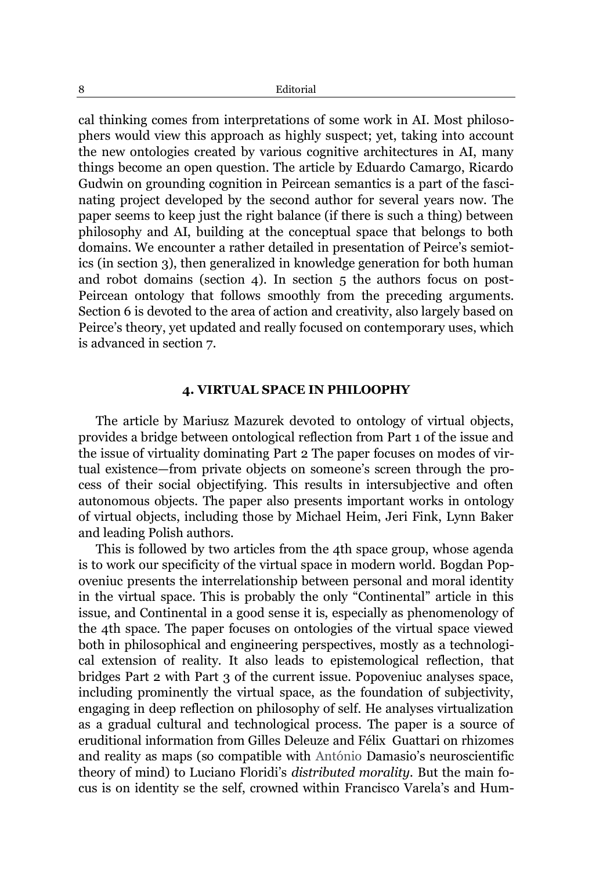cal thinking comes from interpretations of some work in AI. Most philosophers would view this approach as highly suspect; yet, taking into account the new ontologies created by various cognitive architectures in AI, many things become an open question. The article by Eduardo Camargo, Ricardo Gudwin on grounding cognition in Peircean semantics is a part of the fascinating project developed by the second author for several years now. The paper seems to keep just the right balance (if there is such a thing) between philosophy and AI, building at the conceptual space that belongs to both domains. We encounter a rather detailed in presentation of Peirce's semiotics (in section 3), then generalized in knowledge generation for both human and robot domains (section 4). In section 5 the authors focus on post-Peircean ontology that follows smoothly from the preceding arguments. Section 6 is devoted to the area of action and creativity, also largely based on Peirce's theory, yet updated and really focused on contemporary uses, which is advanced in section 7.

### **4. VIRTUAL SPACE IN PHILOOPHY**

The article by Mariusz Mazurek devoted to ontology of virtual objects, provides a bridge between ontological reflection from Part 1 of the issue and the issue of virtuality dominating Part 2 The paper focuses on modes of virtual existence—from private objects on someone's screen through the process of their social objectifying. This results in intersubjective and often autonomous objects. The paper also presents important works in ontology of virtual objects, including those by Michael Heim, Jeri Fink, Lynn Baker and leading Polish authors.

This is followed by two articles from the 4th space group, whose agenda is to work our specificity of the virtual space in modern world. Bogdan Popoveniuc presents the interrelationship between personal and moral identity in the virtual space. This is probably the only "Continental" article in this issue, and Continental in a good sense it is, especially as phenomenology of the 4th space. The paper focuses on ontologies of the virtual space viewed both in philosophical and engineering perspectives, mostly as a technological extension of reality. It also leads to epistemological reflection, that bridges Part 2 with Part 3 of the current issue. Popoveniuc analyses space, including prominently the virtual space, as the foundation of subjectivity, engaging in deep reflection on philosophy of self. He analyses virtualization as a gradual cultural and technological process*.* The paper is a source of eruditional information from Gilles Deleuze and Félix Guattari on rhizomes and reality as maps (so compatible with António Damasio's neuroscientific theory of mind) to Luciano Floridi's *distributed morality*. But the main focus is on identity se the self, crowned within Francisco Varela's and Hum-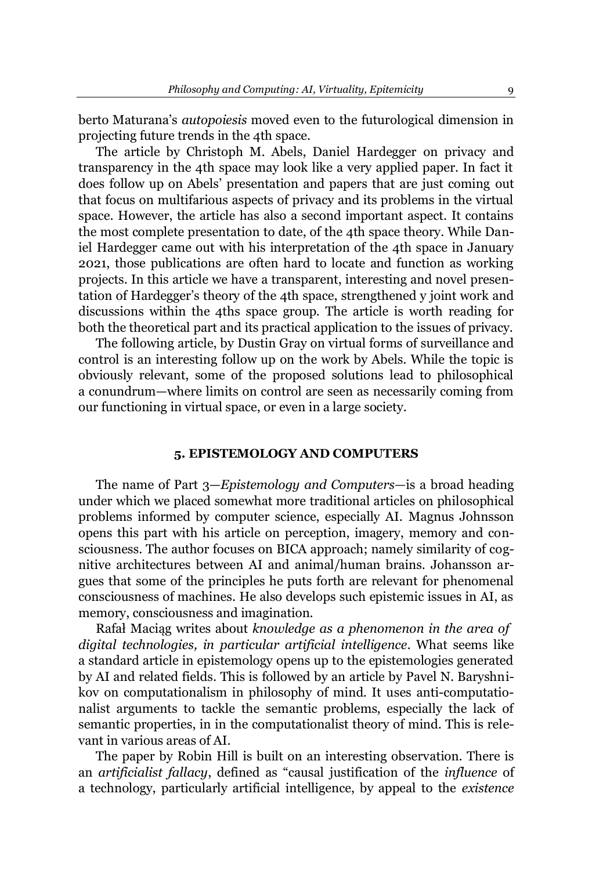berto Maturana's *autopoiesis* moved even to the futurological dimension in projecting future trends in the 4th space.

The article by Christoph M. Abels, Daniel Hardegger on privacy and transparency in the 4th space may look like a very applied paper. In fact it does follow up on Abels' presentation and papers that are just coming out that focus on multifarious aspects of privacy and its problems in the virtual space. However, the article has also a second important aspect. It contains the most complete presentation to date, of the 4th space theory. While Daniel Hardegger came out with his interpretation of the 4th space in January 2021, those publications are often hard to locate and function as working projects. In this article we have a transparent, interesting and novel presentation of Hardegger's theory of the 4th space, strengthened y joint work and discussions within the 4ths space group. The article is worth reading for both the theoretical part and its practical application to the issues of privacy.

The following article, by Dustin Gray on virtual forms of surveillance and control is an interesting follow up on the work by Abels. While the topic is obviously relevant, some of the proposed solutions lead to philosophical a conundrum—where limits on control are seen as necessarily coming from our functioning in virtual space, or even in a large society.

## **5. EPISTEMOLOGY AND COMPUTERS**

The name of Part 3–*Epistemology and Computers*– is a broad heading under which we placed somewhat more traditional articles on philosophical problems informed by computer science, especially AI. Magnus Johnsson opens this part with his article on perception, imagery, memory and consciousness. The author focuses on BICA approach; namely similarity of cognitive architectures between AI and animal/human brains. Johansson argues that some of the principles he puts forth are relevant for phenomenal consciousness of machines. He also develops such epistemic issues in AI, as memory, consciousness and imagination.

Rafał Maciąg writes about *knowledge as a phenomenon in the area of digital technologies, in particular artificial intelligence.* What seems like a standard article in epistemology opens up to the epistemologies generated by AI and related fields. This is followed by an article by Pavel N. Baryshnikov on computationalism in philosophy of mind. It uses anti-computationalist arguments to tackle the semantic problems, especially the lack of semantic properties, in in the computationalist theory of mind. This is relevant in various areas of AI.

The paper by Robin Hill is built on an interesting observation. There is an *artificialist fallacy*, defined as "causal justification of the *influence* of a technology, particularly artificial intelligence, by appeal to the *existence*